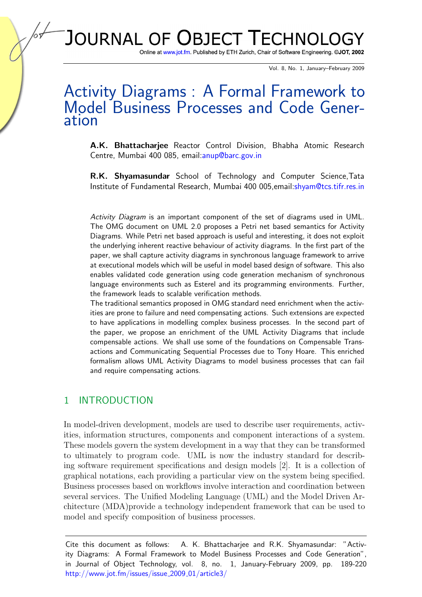# JOURNAL OF OBJECT TECHNOLOGY

Online at www.jot.fm. Published by ETH Zurich, Chair of Software Engineering. ©JOT, 2002

Vol. 8, No. 1, January–February 2009

## Activity Diagrams : A Formal Framework to Model Business Processes and Code Generation

A.K. Bhattacharjee Reactor Control Division, Bhabha Atomic Research Centre, Mumbai 400 085, email[:anup@barc.gov.in](mailto:anup@barc.gov.in)

R.K. Shyamasundar School of Technology and Computer Science,Tata Institute of Fundamental Research, Mumbai 400 005,email[:shyam@tcs.tifr.res.in](mailto:shyam@tcs.tifr.res.in)

Activity Diagram is an important component of the set of diagrams used in UML. The OMG document on UML 2.0 proposes a Petri net based semantics for Activity Diagrams. While Petri net based approach is useful and interesting, it does not exploit the underlying inherent reactive behaviour of activity diagrams. In the first part of the paper, we shall capture activity diagrams in synchronous language framework to arrive at executional models which will be useful in model based design of software. This also enables validated code generation using code generation mechanism of synchronous language environments such as Esterel and its programming environments. Further, the framework leads to scalable verification methods.

The traditional semantics proposed in OMG standard need enrichment when the activities are prone to failure and need compensating actions. Such extensions are expected to have applications in modelling complex business processes. In the second part of the paper, we propose an enrichment of the UML Activity Diagrams that include compensable actions. We shall use some of the foundations on Compensable Transactions and Communicating Sequential Processes due to Tony Hoare. This enriched formalism allows UML Activity Diagrams to model business processes that can fail and require compensating actions.

#### 1 INTRODUCTION

In model-driven development, models are used to describe user requirements, activities, information structures, components and component interactions of a system. These models govern the system development in a way that they can be transformed to ultimately to program code. UML is now the industry standard for describing software requirement specifications and design models [\[2\]](#page-27-0). It is a collection of graphical notations, each providing a particular view on the system being specified. Business processes based on workflows involve interaction and coordination between several services. The Unified Modeling Language (UML) and the Model Driven Architecture (MDA)provide a technology independent framework that can be used to model and specify composition of business processes.

Cite this document as follows: A. K. Bhattacharjee and R.K. Shyamasundar: "Activity Diagrams: A Formal Framework to Model Business Processes and Code Generation", in Journal of Object Technology, vol. 8, no. 1, January-February 2009, pp. 189-220 [http://www.jot.fm/issues/issue](http://www.jot.fm/issues/issue_2009_01/article3/) 2009 01/article3/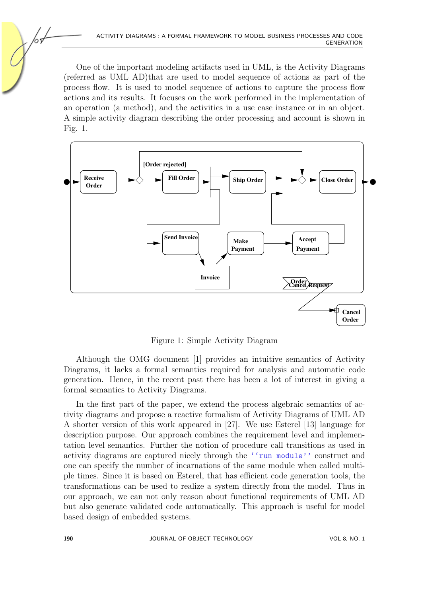One of the important modeling artifacts used in UML, is the Activity Diagrams (referred as UML AD)that are used to model sequence of actions as part of the process flow. It is used to model sequence of actions to capture the process flow actions and its results. It focuses on the work performed in the implementation of an operation (a method), and the activities in a use case instance or in an object. A simple activity diagram describing the order processing and account is shown in Fig. [1.](#page-1-0)



<span id="page-1-0"></span>Figure 1: Simple Activity Diagram

Although the OMG document [\[1\]](#page-26-0) provides an intuitive semantics of Activity Diagrams, it lacks a formal semantics required for analysis and automatic code generation. Hence, in the recent past there has been a lot of interest in giving a formal semantics to Activity Diagrams.

In the first part of the paper, we extend the process algebraic semantics of activity diagrams and propose a reactive formalism of Activity Diagrams of UML AD A shorter version of this work appeared in [\[27\]](#page-28-0). We use Esterel [\[13\]](#page-27-1) language for description purpose. Our approach combines the requirement level and implementation level semantics. Further the notion of procedure call transitions as used in activity diagrams are captured nicely through the ''run module'' construct and one can specify the number of incarnations of the same module when called multiple times. Since it is based on Esterel, that has efficient code generation tools, the transformations can be used to realize a system directly from the model. Thus in our approach, we can not only reason about functional requirements of UML AD but also generate validated code automatically. This approach is useful for model based design of embedded systems.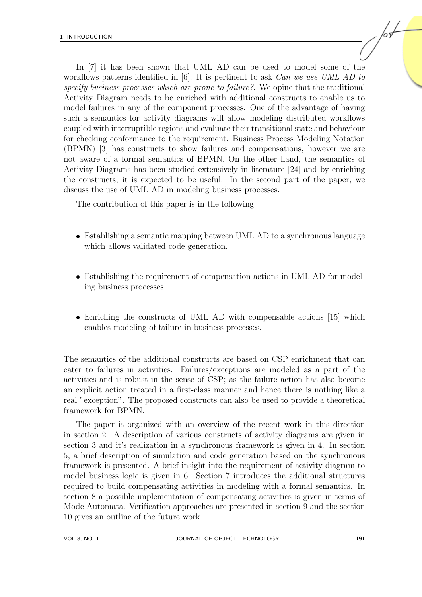In [\[7\]](#page-27-2) it has been shown that UML AD can be used to model some of the workflows patterns identified in [\[6\]](#page-27-3). It is pertinent to ask *Can we use UML AD to* specify business processes which are prone to failure?. We opine that the traditional Activity Diagram needs to be enriched with additional constructs to enable us to model failures in any of the component processes. One of the advantage of having such a semantics for activity diagrams will allow modeling distributed workflows coupled with interruptible regions and evaluate their transitional state and behaviour for checking conformance to the requirement. Business Process Modeling Notation (BPMN) [\[3\]](#page-27-4) has constructs to show failures and compensations, however we are not aware of a formal semantics of BPMN. On the other hand, the semantics of Activity Diagrams has been studied extensively in literature [\[24\]](#page-28-1) and by enriching the constructs, it is expected to be useful. In the second part of the paper, we discuss the use of UML AD in modeling business processes.

The contribution of this paper is in the following

- Establishing a semantic mapping between UML AD to a synchronous language which allows validated code generation.
- Establishing the requirement of compensation actions in UML AD for modeling business processes.
- Enriching the constructs of UML AD with compensable actions [\[15\]](#page-27-5) which enables modeling of failure in business processes.

The semantics of the additional constructs are based on CSP enrichment that can cater to failures in activities. Failures/exceptions are modeled as a part of the activities and is robust in the sense of CSP; as the failure action has also become an explicit action treated in a first-class manner and hence there is nothing like a real "exception". The proposed constructs can also be used to provide a theoretical framework for BPMN.

The paper is organized with an overview of the recent work in this direction in section [2.](#page-3-0) A description of various constructs of activity diagrams are given in section [3](#page-3-1) and it's realization in a synchronous framework is given in [4.](#page-7-0) In section [5,](#page-16-0) a brief description of simulation and code generation based on the synchronous framework is presented. A brief insight into the requirement of activity diagram to model business logic is given in [6.](#page-18-0) Section [7](#page-19-0) introduces the additional structures required to build compensating activities in modeling with a formal semantics. In section [8](#page-24-0) a possible implementation of compensating activities is given in terms of Mode Automata. Verification approaches are presented in section [9](#page-24-1) and the section [10](#page-26-1) gives an outline of the future work.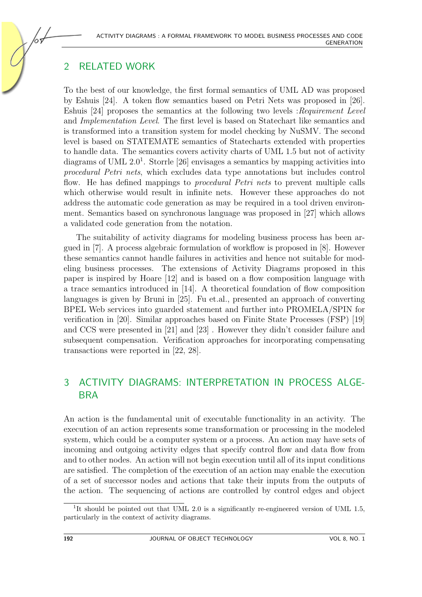## <span id="page-3-0"></span>2 RELATED WORK

To the best of our knowledge, the first formal semantics of UML AD was proposed by Eshuis [\[24\]](#page-28-1). A token flow semantics based on Petri Nets was proposed in [\[26\]](#page-28-2). Eshuis [\[24\]](#page-28-1) proposes the semantics at the following two levels :Requirement Level and Implementation Level. The first level is based on Statechart like semantics and is transformed into a transition system for model checking by NuSMV. The second level is based on STATEMATE semantics of Statecharts extended with properties to handle data. The semantics covers activity charts of UML 1.5 but not of activity diagrams of UML 2.0<sup>[1](#page-3-2)</sup>. Storrle [\[26\]](#page-28-2) envisages a semantics by mapping activities into procedural Petri nets, which excludes data type annotations but includes control flow. He has defined mappings to procedural Petri nets to prevent multiple calls which otherwise would result in infinite nets. However these approaches do not address the automatic code generation as may be required in a tool driven environment. Semantics based on synchronous language was proposed in [\[27\]](#page-28-0) which allows a validated code generation from the notation.

The suitability of activity diagrams for modeling business process has been argued in [\[7\]](#page-27-2). A process algebraic formulation of workflow is proposed in [\[8\]](#page-27-6). However these semantics cannot handle failures in activities and hence not suitable for modeling business processes. The extensions of Activity Diagrams proposed in this paper is inspired by Hoare [\[12\]](#page-27-7) and is based on a flow composition language with a trace semantics introduced in [\[14\]](#page-27-8). A theoretical foundation of flow composition languages is given by Bruni in [\[25\]](#page-28-3). Fu et.al., presented an approach of converting BPEL Web services into guarded statement and further into PROMELA/SPIN for verification in [\[20\]](#page-28-4). Similar approaches based on Finite State Processes (FSP) [\[19\]](#page-28-5) and CCS were presented in [\[21\]](#page-28-6) and [\[23\]](#page-28-7) . However they didn't consider failure and subsequent compensation. Verification approaches for incorporating compensating transactions were reported in [\[22,](#page-28-8) [28\]](#page-28-9).

## <span id="page-3-1"></span>3 ACTIVITY DIAGRAMS: INTERPRETATION IN PROCESS ALGE-BRA

An action is the fundamental unit of executable functionality in an activity. The execution of an action represents some transformation or processing in the modeled system, which could be a computer system or a process. An action may have sets of incoming and outgoing activity edges that specify control flow and data flow from and to other nodes. An action will not begin execution until all of its input conditions are satisfied. The completion of the execution of an action may enable the execution of a set of successor nodes and actions that take their inputs from the outputs of the action. The sequencing of actions are controlled by control edges and object

<span id="page-3-2"></span><sup>&</sup>lt;sup>1</sup>It should be pointed out that UML 2.0 is a significantly re-engineered version of UML 1.5, particularly in the context of activity diagrams.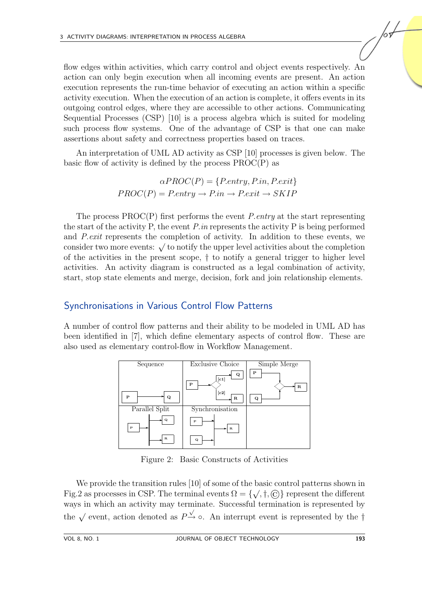flow edges within activities, which carry control and object events respectively. An action can only begin execution when all incoming events are present. An action execution represents the run-time behavior of executing an action within a specific activity execution. When the execution of an action is complete, it offers events in its outgoing control edges, where they are accessible to other actions. Communicating Sequential Processes (CSP) [\[10\]](#page-27-9) is a process algebra which is suited for modeling such process flow systems. One of the advantage of CSP is that one can make assertions about safety and correctness properties based on traces.

An interpretation of UML AD activity as CSP [\[10\]](#page-27-9) processes is given below. The basic flow of activity is defined by the process PROC(P) as

$$
\alpha PROC(P) = \{P. entry, P.in, P. exit\}
$$

$$
PROC(P) = P. entry \rightarrow P.in \rightarrow P. exit \rightarrow SKIP
$$

The process  $PROC(P)$  first performs the event *P.entry* at the start representing the start of the activity P, the event  $P.in$  represents the activity P is being performed and P.exit represents the completion of activity. In addition to these events, we and *f* examples the completion of activity. In addition to these events, we consider two more events:  $\sqrt{\ }$  to notify the upper level activities about the completion of the activities in the present scope, † to notify a general trigger to higher level activities. An activity diagram is constructed as a legal combination of activity, start, stop state elements and merge, decision, fork and join relationship elements.

#### Synchronisations in Various Control Flow Patterns

A number of control flow patterns and their ability to be modeled in UML AD has been identified in [\[7\]](#page-27-2), which define elementary aspects of control flow. These are also used as elementary control-flow in Workflow Management.



<span id="page-4-0"></span>Figure 2: Basic Constructs of Activities

We provide the transition rules [\[10\]](#page-27-9) of some of the basic control patterns shown in Fig[.2](#page-4-0) as processes in CSP. The terminal events  $\Omega = \{\sqrt, \dagger, \odot\}$  represent the different ways in which an activity may terminate. Successful termination is represented by the  $\sqrt{\ }$  event, action denoted as  $P^{\frac{\sqrt{}}{2}}$   $\circ$ . An interrupt event is represented by the †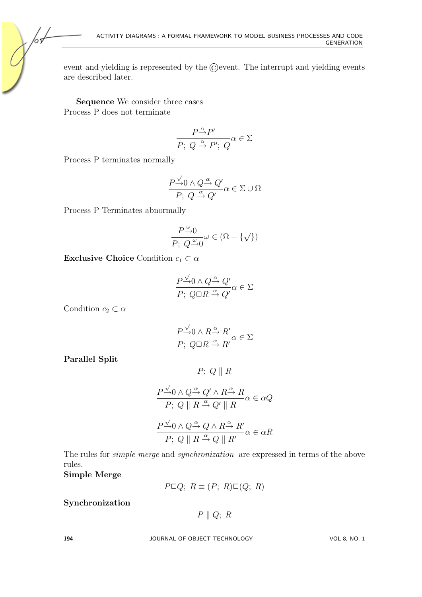event and yielding is represented by the  $\odot$  event. The interrupt and yielding events are described later.

Sequence We consider three cases Process P does not terminate

$$
\frac{P \mathop{\rightarrow}^{\alpha} P'}{P;\; Q \mathop{\rightarrow}^{\alpha} P';\; Q} \alpha \in \Sigma
$$

Process P terminates normally

ю,

$$
\frac{P \xrightarrow{\sqrt{}} 0 \wedge Q \xrightarrow{\alpha} Q'}{P; \ Q \xrightarrow{\alpha} Q'} \alpha \in \Sigma \cup \Omega
$$

Process P Terminates abnormally

$$
\frac{P \xrightarrow{\omega} 0}{P; \ Q \xrightarrow{\omega} 0} \omega \in (\Omega - \{\sqrt{\})
$$

Exclusive Choice Condition  $c_1 \subset \alpha$ 

$$
\frac{P \xrightarrow{\sqrt{}} 0 \wedge Q \xrightarrow{\alpha} Q'}{P; \ Q\square R \xrightarrow{\alpha} Q'} \alpha \in \Sigma
$$

Condition  $c_2 \subset \alpha$ 

$$
\frac{P \xrightarrow{\sqrt{}} 0 \wedge R \xrightarrow{\alpha} R'}{P; \ Q \Box R \xrightarrow{\alpha} R'} \alpha \in \Sigma
$$

Parallel Split

$$
P; Q \parallel R
$$

$$
\frac{P \xrightarrow{\sqrt{}} 0 \wedge Q \xrightarrow{\alpha} Q' \wedge R \xrightarrow{\alpha} R}{P; Q \parallel R \xrightarrow{\alpha} Q' \parallel R} \alpha \in \alpha Q
$$
  

$$
\frac{P \xrightarrow{\sqrt{}} 0 \wedge Q \xrightarrow{\alpha} Q \wedge R \xrightarrow{\alpha} R'}{P; Q \parallel R \xrightarrow{\alpha} Q \parallel R'} \alpha \in \alpha R
$$

The rules for simple merge and synchronization are expressed in terms of the above rules.

Simple Merge

 $P \Box Q$ ;  $R \equiv (P; R) \Box (Q; R)$ 

Synchronization

 $P \parallel Q; R$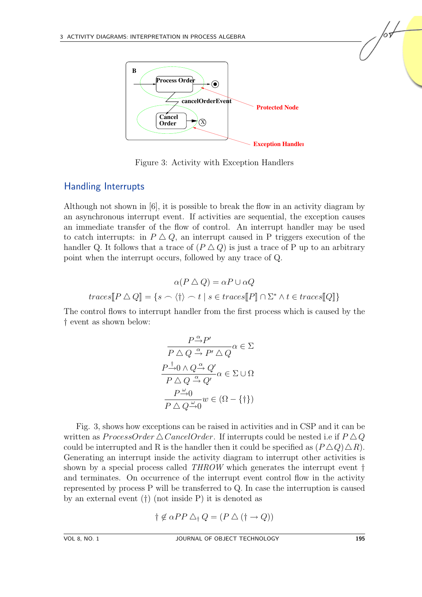

<span id="page-6-0"></span>Figure 3: Activity with Exception Handlers

#### Handling Interrupts

Although not shown in [\[6\]](#page-27-3), it is possible to break the flow in an activity diagram by an asynchronous interrupt event. If activities are sequential, the exception causes an immediate transfer of the flow of control. An interrupt handler may be used to catch interrupts: in  $P \Delta Q$ , an interrupt caused in P triggers execution of the handler Q. It follows that a trace of  $(P \Delta Q)$  is just a trace of P up to an arbitrary point when the interrupt occurs, followed by any trace of Q.

$$
\alpha(P \triangle Q) = \alpha P \cup \alpha Q
$$
  

$$
traces[\![P \triangle Q]\!] = \{s \frown \langle \dagger \rangle \frown t \mid s \in traces[\![P]\!] \cap \Sigma^* \land t \in traces[\![Q]\!]\}
$$

The control flows to interrupt handler from the first process which is caused by the † event as shown below:

$$
\frac{P \xrightarrow{\alpha} P'}{P \bigtriangleup Q \xrightarrow{\alpha} P' \bigtriangleup Q} \alpha \in \Sigma
$$
\n
$$
\frac{P \xrightarrow{\dagger} 0 \wedge Q \xrightarrow{\alpha} Q'}{P \bigtriangleup Q \xrightarrow{\alpha} Q'} \alpha \in \Sigma \cup \Omega
$$
\n
$$
\frac{P \xrightarrow{\omega} 0}{P \bigtriangleup Q \xrightarrow{\omega} 0} w \in (\Omega - \{\dagger\})
$$

Fig. [3,](#page-6-0) shows how exceptions can be raised in activities and in CSP and it can be written as ProcessOrder  $\triangle$  CancelOrder. If interrupts could be nested i.e if  $P \triangle Q$ could be interrupted and R is the handler then it could be specified as  $(P \Delta Q) \Delta R$ . Generating an interrupt inside the activity diagram to interrupt other activities is shown by a special process called THROW which generates the interrupt event † and terminates. On occurrence of the interrupt event control flow in the activity represented by process P will be transferred to Q. In case the interruption is caused by an external event (†) (not inside P) it is denoted as

$$
\dagger \not\in \alpha PP \bigtriangleup_{\dagger} Q = (P \bigtriangleup (\dagger \rightarrow Q))
$$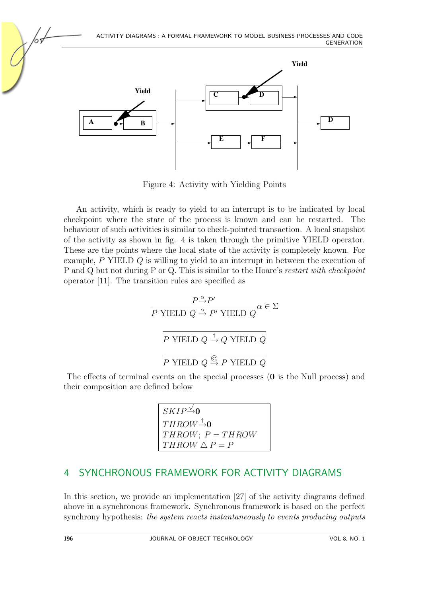

<span id="page-7-1"></span>Figure 4: Activity with Yielding Points

An activity, which is ready to yield to an interrupt is to be indicated by local checkpoint where the state of the process is known and can be restarted. The behaviour of such activities is similar to check-pointed transaction. A local snapshot of the activity as shown in fig. [4](#page-7-1) is taken through the primitive YIELD operator. These are the points where the local state of the activity is completely known. For example, P YIELD Q is willing to yield to an interrupt in between the execution of P and Q but not during P or Q. This is similar to the Hoare's restart with checkpoint operator [\[11\]](#page-27-10). The transition rules are specified as

$$
\cfrac{P \xrightarrow{\alpha} P'}{P \text{ YIELD } Q \xrightarrow{\alpha} P' \text{ YIELD } Q} \alpha \in \Sigma
$$
\n
$$
\cfrac{P \text{ YIELD } Q \xrightarrow{\dagger} Q \text{ YIELD } Q}{P \text{ YIELD } Q \xrightarrow{\bigcirc} P \text{ YIELD } Q}
$$

The effects of terminal events on the special processes (0 is the Null process) and their composition are defined below

> SKIP √  $\rightarrow 0$  $THROW \rightarrow 0$  $THROW$ ;  $P = THROW$  $THROW \triangle P = P$

## <span id="page-7-0"></span>4 SYNCHRONOUS FRAMEWORK FOR ACTIVITY DIAGRAMS

In this section, we provide an implementation [\[27\]](#page-28-0) of the activity diagrams defined above in a synchronous framework. Synchronous framework is based on the perfect synchrony hypothesis: the system reacts instantaneously to events producing outputs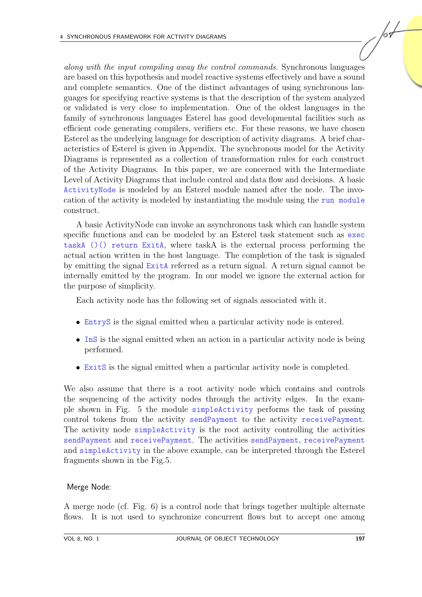along with the input compiling away the control commands. Synchronous languages are based on this hypothesis and model reactive systems effectively and have a sound and complete semantics. One of the distinct advantages of using synchronous languages for specifying reactive systems is that the description of the system analyzed or validated is very close to implementation. One of the oldest languages in the family of synchronous languages Esterel has good developmental facilities such as efficient code generating compilers, verifiers etc. For these reasons, we have chosen Esterel as the underlying language for description of activity diagrams. A brief characteristics of Esterel is given in Appendix. The synchronous model for the Activity Diagrams is represented as a collection of transformation rules for each construct of the Activity Diagrams. In this paper, we are concerned with the Intermediate Level of Activity Diagrams that include control and data flow and decisions. A basic ActivityNode is modeled by an Esterel module named after the node. The invocation of the activity is modeled by instantiating the module using the run module construct.

A basic ActivityNode can invoke an asynchronous task which can handle system specific functions and can be modeled by an Esterel task statement such as exec taskA ()() return ExitA, where taskA is the external process performing the actual action written in the host language. The completion of the task is signaled by emitting the signal ExitA referred as a return signal. A return signal cannot be internally emitted by the program. In our model we ignore the external action for the purpose of simplicity.

Each activity node has the following set of signals associated with it.

- EntryS is the signal emitted when a particular activity node is entered.
- InS is the signal emitted when an action in a particular activity node is being performed.
- ExitS is the signal emitted when a particular activity node is completed.

We also assume that there is a root activity node which contains and controls the sequencing of the activity nodes through the activity edges. In the example shown in Fig. [5](#page-9-0) the module simpleActivity performs the task of passing control tokens from the activity sendPayment to the activity receivePayment. The activity node simpleActivity is the root activity controlling the activities sendPayment and receivePayment. The activities sendPayment, receivePayment and simpleActivity in the above example, can be interpreted through the Esterel fragments shown in the Fig[.5.](#page-9-0)

#### Merge Node:

A merge node (cf. Fig. [6\)](#page-10-0) is a control node that brings together multiple alternate flows. It is not used to synchronize concurrent flows but to accept one among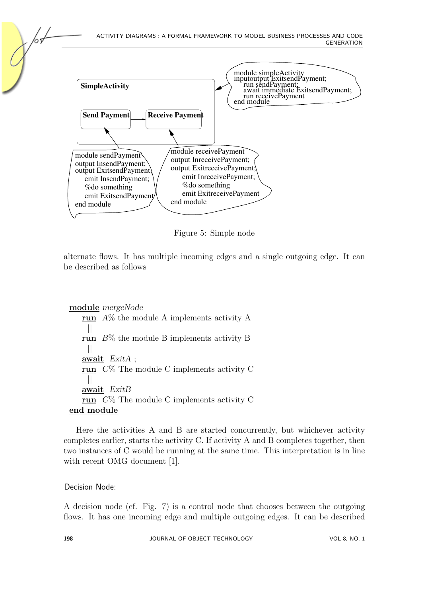

<span id="page-9-0"></span>Figure 5: Simple node

alternate flows. It has multiple incoming edges and a single outgoing edge. It can be described as follows

```
module mergeNode
   run A\% the module A implements activity A
    ||
   run B% the module B implements activity B
    ||
   await ExitA ;
   run C% The module C implements activity C
    ||
   await ExitB
   run C% The module C implements activity C
end module
```
Here the activities A and B are started concurrently, but whichever activity completes earlier, starts the activity C. If activity A and B completes together, then two instances of C would be running at the same time. This interpretation is in line with recent OMG document [\[1\]](#page-26-0).

#### Decision Node:

A decision node (cf. Fig. [7\)](#page-10-1) is a control node that chooses between the outgoing flows. It has one incoming edge and multiple outgoing edges. It can be described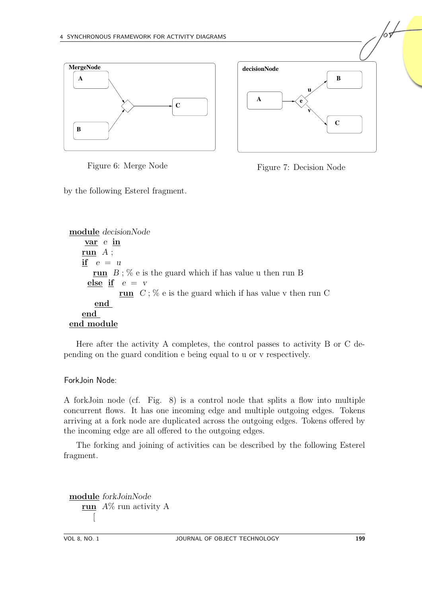



<span id="page-10-0"></span>Figure 6: Merge Node

<span id="page-10-1"></span>

by the following Esterel fragment.

module decisionNode var e in run  $A$ ; if  $e = u$ run  $B$ ; % e is the guard which if has value u then run B else if  $e = v$ run  $C$ ; % e is the guard which if has value v then run C end end end module

Here after the activity A completes, the control passes to activity B or C depending on the guard condition e being equal to u or v respectively.

Fork Join Node:

A forkJoin node (cf. Fig. [8\)](#page-11-0) is a control node that splits a flow into multiple concurrent flows. It has one incoming edge and multiple outgoing edges. Tokens arriving at a fork node are duplicated across the outgoing edges. Tokens offered by the incoming edge are all offered to the outgoing edges.

The forking and joining of activities can be described by the following Esterel fragment.

module forkJoinNode run  $A\%$  run activity A [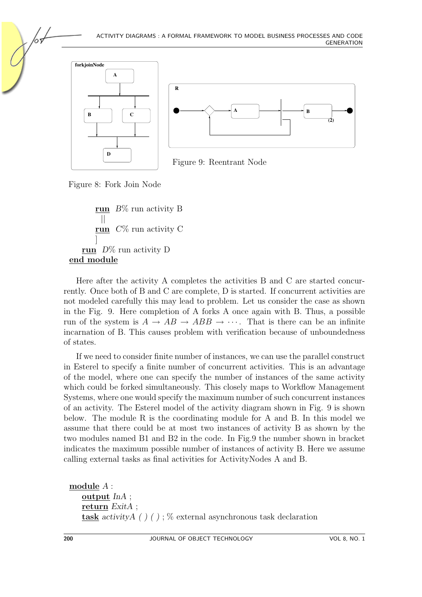



<span id="page-11-1"></span>Figure 9: Reentrant Node

<span id="page-11-0"></span>Figure 8: Fork Join Node

run  $B\%$  run activity B || run  $C\%$  run activity C ] run  $D\%$  run activity D end module

Here after the activity A completes the activities B and C are started concurrently. Once both of B and C are complete, D is started. If concurrent activities are not modeled carefully this may lead to problem. Let us consider the case as shown in the Fig. [9.](#page-11-1) Here completion of A forks A once again with B. Thus, a possible run of the system is  $A \to AB \to ABB \to \cdots$ . That is there can be an infinite incarnation of B. This causes problem with verification because of unboundedness of states.

If we need to consider finite number of instances, we can use the parallel construct in Esterel to specify a finite number of concurrent activities. This is an advantage of the model, where one can specify the number of instances of the same activity which could be forked simultaneously. This closely maps to Workflow Management Systems, where one would specify the maximum number of such concurrent instances of an activity. The Esterel model of the activity diagram shown in Fig. [9](#page-11-1) is shown below. The module R is the coordinating module for A and B. In this model we assume that there could be at most two instances of activity B as shown by the two modules named B1 and B2 in the code. In Fig[.9](#page-11-1) the number shown in bracket indicates the maximum possible number of instances of activity B. Here we assume calling external tasks as final activities for ActivityNodes A and B.

```
module A :
   output InA ;
   return ExitA ;
   task activityA ( ) ( ) ; \% external asynchronous task declaration
```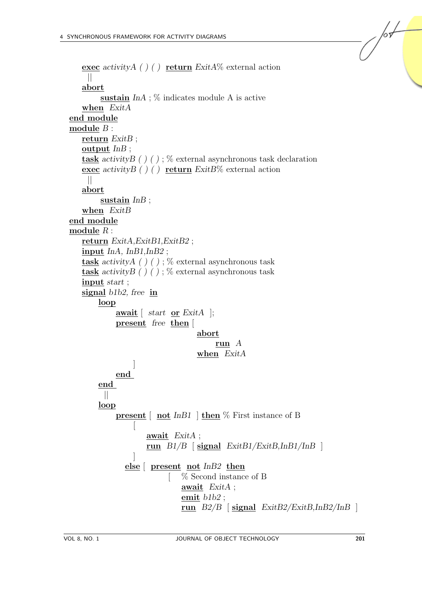```
exec activityA ( ) ( ) return ExitA\% external action
    ||
   abort
        sustain InA; \% indicates module A is active
   when ExitA
end module
module B :
   return ExitB;
   output InB ;
   task activityB ( ) ( ) ; \% external asynchronous task declaration
   exec activity \left(\begin{array}{c} 0 \end{array}\right) ( ) return ExitB% external action
    ||
   abort
        sustain InB;
   when ExitB
end module
module R :
   return ExitA,ExitB1,ExitB2 ;
   input InA, InB1,InB2 ;
   task activityA ( ) ( ) ; \% external asynchronous task
   task activityB () (); % external asynchronous task
   input start ;
   signal b1b2, free in
        loop
            await [ start or ExitA ];
            present free then [
                                   abort
                                        run A
                                   when ExitA
                 ]
            end
        end
         ||
        loop
            present \lceil not InB1 \rceil then \% First instance of B
                 \sqrt{2}await ExitA ;
                     run B1/B [ signal ExitB1/ExitB, InB1/InB ]
                 ]
               else [ present not InB2 then
                              [ % Second instance of B
                              await ExitA ;
                              emit b1b2 ;
                              run B2/B [signal ExitB2/ExitB, lnB2/lnB]
```
 $\sqrt{\frac{1}{2}}$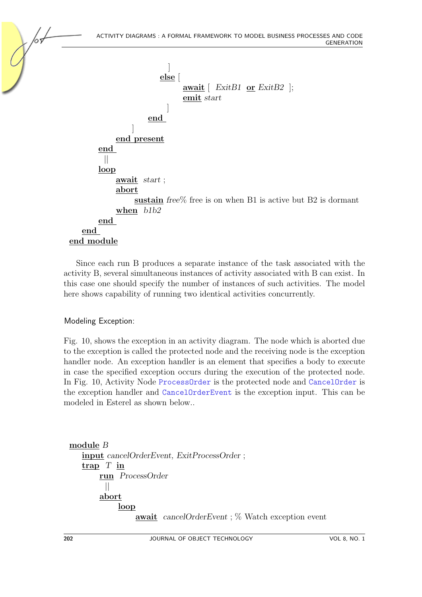

Since each run B produces a separate instance of the task associated with the activity B, several simultaneous instances of activity associated with B can exist. In this case one should specify the number of instances of such activities. The model here shows capability of running two identical activities concurrently.

#### Modeling Exception:

Fig. [10,](#page-14-0) shows the exception in an activity diagram. The node which is aborted due to the exception is called the protected node and the receiving node is the exception handler node. An exception handler is an element that specifies a body to execute in case the specified exception occurs during the execution of the protected node. In Fig. [10,](#page-14-0) Activity Node ProcessOrder is the protected node and CancelOrder is the exception handler and CancelOrderEvent is the exception input. This can be modeled in Esterel as shown below..

```
module B
   input cancelOrderEvent, ExitProcessOrder ;
   \frac{\text{trap}}{\text{I}} T in
        run ProcessOrder
          ||
        abort
              loop
                   await cancelOrderEvent ; % Watch exception event
```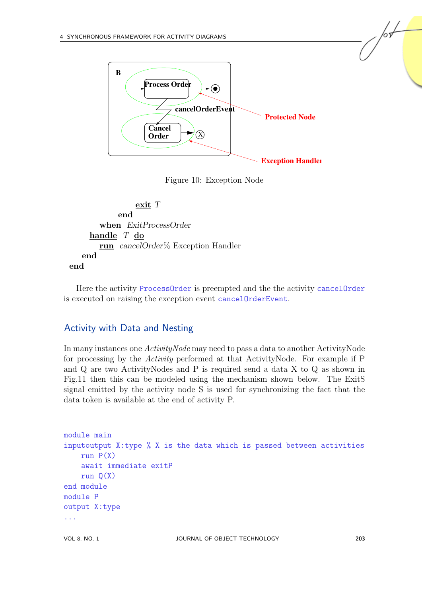

<span id="page-14-0"></span>Figure 10: Exception Node



Here the activity ProcessOrder is preempted and the the activity cancelOrder is executed on raising the exception event cancelOrderEvent.

#### Activity with Data and Nesting

In many instances one ActivityNode may need to pass a data to another ActivityNode for processing by the Activity performed at that ActivityNode. For example if P and Q are two ActivityNodes and P is required send a data X to Q as shown in Fig[.11](#page-15-0) then this can be modeled using the mechanism shown below. The ExitS signal emitted by the activity node S is used for synchronizing the fact that the data token is available at the end of activity P.

```
module main
inputoutput X:type % X is the data which is passed between activities
    run P(X)await immediate exitP
    run Q(X)end module
module P
output X:type
...
```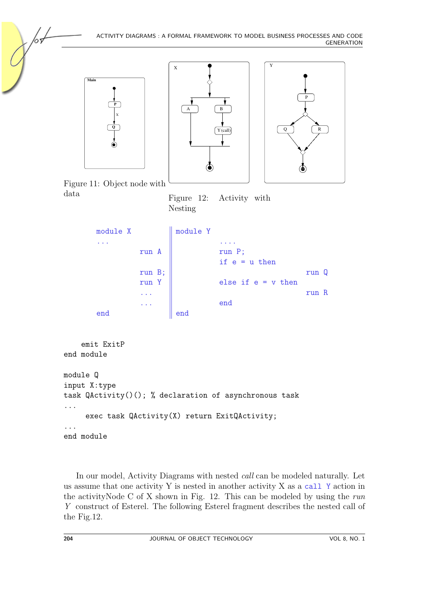<span id="page-15-1"></span><span id="page-15-0"></span>

In our model, Activity Diagrams with nested call can be modeled naturally. Let us assume that one activity Y is nested in another activity X as a call Y action in the activity Node C of X shown in Fig. [12.](#page-15-1) This can be modeled by using the run Y construct of Esterel. The following Esterel fragment describes the nested call of the Fig[.12.](#page-15-1)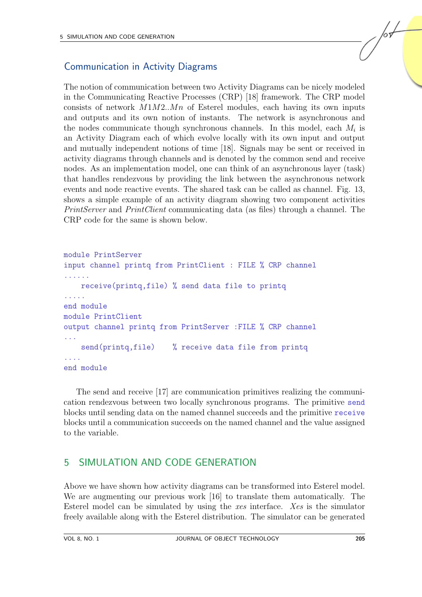### Communication in Activity Diagrams

The notion of communication between two Activity Diagrams can be nicely modeled in the Communicating Reactive Processes (CRP) [\[18\]](#page-28-10) framework. The CRP model consists of network  $M1M2..Mn$  of Esterel modules, each having its own inputs and outputs and its own notion of instants. The network is asynchronous and the nodes communicate though synchronous channels. In this model, each  $M_i$  is an Activity Diagram each of which evolve locally with its own input and output and mutually independent notions of time [\[18\]](#page-28-10). Signals may be sent or received in activity diagrams through channels and is denoted by the common send and receive nodes. As an implementation model, one can think of an asynchronous layer (task) that handles rendezvous by providing the link between the asynchronous network events and node reactive events. The shared task can be called as channel. Fig. [13,](#page-17-0) shows a simple example of an activity diagram showing two component activities PrintServer and PrintClient communicating data (as files) through a channel. The CRP code for the same is shown below.

#### module PrintServer input channel printq from PrintClient : FILE % CRP channel ...... receive(printq,file) % send data file to printq ..... end module module PrintClient output channel printq from PrintServer :FILE % CRP channel ... send(printq,file) % receive data file from printq .... end module

The send and receive [\[17\]](#page-28-11) are communication primitives realizing the communication rendezvous between two locally synchronous programs. The primitive send blocks until sending data on the named channel succeeds and the primitive receive blocks until a communication succeeds on the named channel and the value assigned to the variable.

## <span id="page-16-0"></span>5 SIMULATION AND CODE GENERATION

Above we have shown how activity diagrams can be transformed into Esterel model. We are augmenting our previous work [\[16\]](#page-27-11) to translate them automatically. The Esterel model can be simulated by using the xes interface. Xes is the simulator freely available along with the Esterel distribution. The simulator can be generated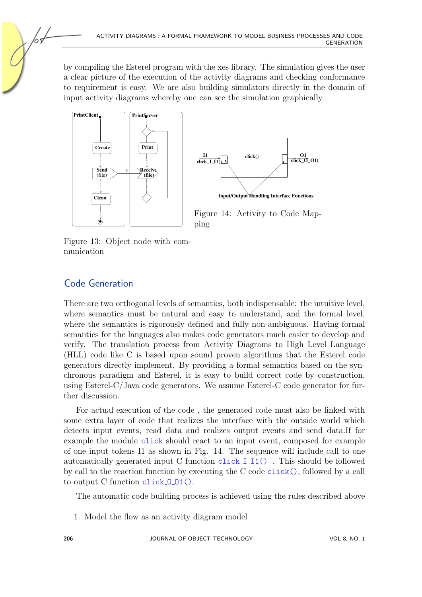by compiling the Esterel program with the xes library. The simulation gives the user a clear picture of the execution of the activity diagrams and checking conformance to requirement is easy. We are also building simulators directly in the domain of input activity diagrams whereby one can see the simulation graphically.



<span id="page-17-1"></span><span id="page-17-0"></span>Figure 13: Object node with communication

## Code Generation

There are two orthogonal levels of semantics, both indispensable: the intuitive level, where semantics must be natural and easy to understand, and the formal level, where the semantics is rigorously defined and fully non-ambiguous. Having formal semantics for the languages also makes code generators much easier to develop and verify. The translation process from Activity Diagrams to High Level Language (HLL) code like C is based upon sound proven algorithms that the Esterel code generators directly implement. By providing a formal semantics based on the synchronous paradigm and Esterel, it is easy to build correct code by construction, using Esterel-C/Java code generators. We assume Esterel-C code generator for further discussion.

For actual execution of the code , the generated code must also be linked with some extra layer of code that realizes the interface with the outside world which detects input events, read data and realizes output events and send data.If for example the module click should react to an input event, composed for example of one input tokens I1 as shown in Fig. [14.](#page-17-1) The sequence will include call to one automatically generated input C function click I I1() . This should be followed by call to the reaction function by executing the C code click(), followed by a call to output C function click O O1().

The automatic code building process is achieved using the rules described above

1. Model the flow as an activity diagram model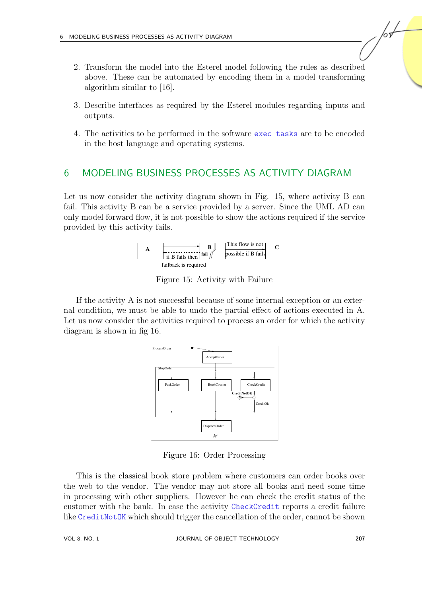- 2. Transform the model into the Esterel model following the rules as described above. These can be automated by encoding them in a model transforming algorithm similar to [\[16\]](#page-27-11).
- 3. Describe interfaces as required by the Esterel modules regarding inputs and outputs.
- 4. The activities to be performed in the software exec tasks are to be encoded in the host language and operating systems.

## <span id="page-18-0"></span>6 MODELING BUSINESS PROCESSES AS ACTIVITY DIAGRAM

Let us now consider the activity diagram shown in Fig. [15,](#page-18-1) where activity B can fail. This activity B can be a service provided by a server. Since the UML AD can only model forward flow, it is not possible to show the actions required if the service provided by this activity fails.



<span id="page-18-1"></span>Figure 15: Activity with Failure

If the activity A is not successful because of some internal exception or an external condition, we must be able to undo the partial effect of actions executed in A. Let us now consider the activities required to process an order for which the activity diagram is shown in fig [16.](#page-18-2)



<span id="page-18-2"></span>Figure 16: Order Processing

This is the classical book store problem where customers can order books over the web to the vendor. The vendor may not store all books and need some time in processing with other suppliers. However he can check the credit status of the customer with the bank. In case the activity CheckCredit reports a credit failure like CreditNotOK which should trigger the cancellation of the order, cannot be shown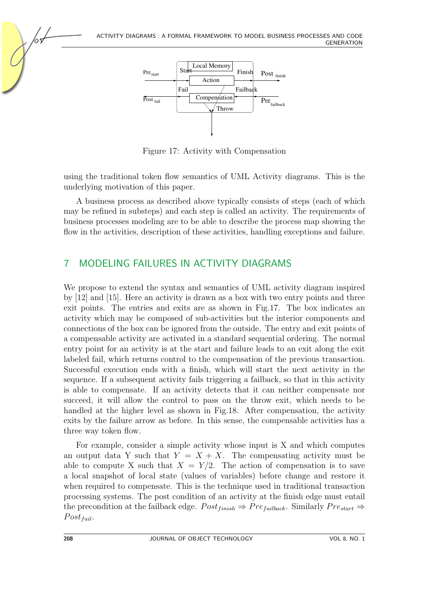

<span id="page-19-1"></span>Figure 17: Activity with Compensation

using the traditional token flow semantics of UML Activity diagrams. This is the underlying motivation of this paper.

A business process as described above typically consists of steps (each of which may be refined in substeps) and each step is called an activity. The requirements of business processes modeling are to be able to describe the process map showing the flow in the activities, description of these activities, handling exceptions and failure.

## <span id="page-19-0"></span>7 MODELING FAILURES IN ACTIVITY DIAGRAMS

We propose to extend the syntax and semantics of UML activity diagram inspired by [\[12\]](#page-27-7) and [\[15\]](#page-27-5). Here an activity is drawn as a box with two entry points and three exit points. The entries and exits are as shown in Fig[.17.](#page-19-1) The box indicates an activity which may be composed of sub-activities but the interior components and connections of the box can be ignored from the outside. The entry and exit points of a compensable activity are activated in a standard sequential ordering. The normal entry point for an activity is at the start and failure leads to an exit along the exit labeled fail, which returns control to the compensation of the previous transaction. Successful execution ends with a finish, which will start the next activity in the sequence. If a subsequent activity fails triggering a failback, so that in this activity is able to compensate. If an activity detects that it can neither compensate nor succeed, it will allow the control to pass on the throw exit, which needs to be handled at the higher level as shown in Fig[.18.](#page-20-0) After compensation, the activity exits by the failure arrow as before. In this sense, the compensable activities has a three way token flow.

For example, consider a simple activity whose input is X and which computes an output data Y such that  $Y = X + X$ . The compensating activity must be able to compute X such that  $X = Y/2$ . The action of compensation is to save a local snapshot of local state (values of variables) before change and restore it when required to compensate. This is the technique used in traditional transaction processing systems. The post condition of an activity at the finish edge must entail the precondition at the failback edge.  $Post_{finish} \Rightarrow Pre_{failback}$ . Similarly  $Pre_{start} \Rightarrow$  $Post_{fail}.$ 

65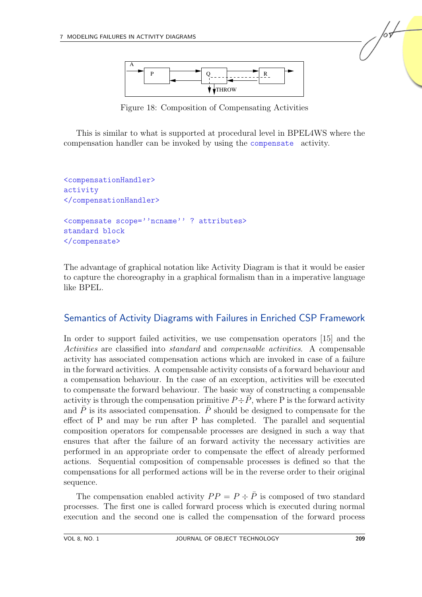

<span id="page-20-0"></span>Figure 18: Composition of Compensating Activities

This is similar to what is supported at procedural level in BPEL4WS where the compensation handler can be invoked by using the compensate activity.

```
<compensationHandler>
activity
</compensationHandler>
<compensate scope=''ncname'' ? attributes>
standard block
</compensate>
```
The advantage of graphical notation like Activity Diagram is that it would be easier to capture the choreography in a graphical formalism than in a imperative language like BPEL.

#### Semantics of Activity Diagrams with Failures in Enriched CSP Framework

In order to support failed activities, we use compensation operators [\[15\]](#page-27-5) and the Activities are classified into standard and compensable activities. A compensable activity has associated compensation actions which are invoked in case of a failure in the forward activities. A compensable activity consists of a forward behaviour and a compensation behaviour. In the case of an exception, activities will be executed to compensate the forward behaviour. The basic way of constructing a compensable activity is through the compensation primitive  $P \div \overline{P}$ , where P is the forward activity and  $\overline{P}$  is its associated compensation.  $\overline{P}$  should be designed to compensate for the effect of P and may be run after P has completed. The parallel and sequential composition operators for compensable processes are designed in such a way that ensures that after the failure of an forward activity the necessary activities are performed in an appropriate order to compensate the effect of already performed actions. Sequential composition of compensable processes is defined so that the compensations for all performed actions will be in the reverse order to their original sequence.

The compensation enabled activity  $PP = P \div \overline{P}$  is composed of two standard processes. The first one is called forward process which is executed during normal execution and the second one is called the compensation of the forward process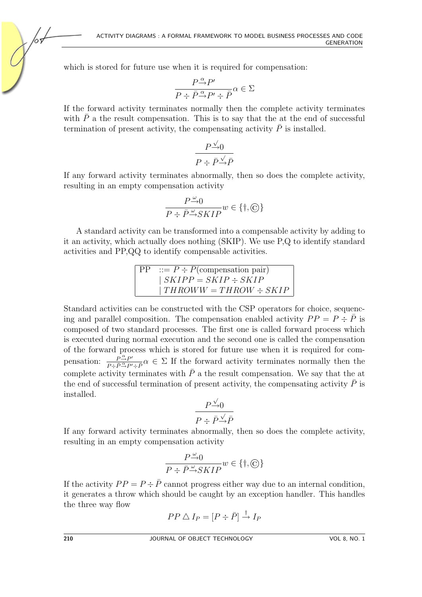which is stored for future use when it is required for compensation:

$$
\frac{P \stackrel{\alpha}{\rightarrow} P'}{P \div \bar{P} \stackrel{\alpha}{\rightarrow} P' \div \bar{P}} \alpha \in \Sigma
$$

If the forward activity terminates normally then the complete activity terminates with  $\overline{P}$  a the result compensation. This is to say that the at the end of successful termination of present activity, the compensating activity  $\bar{P}$  is installed.

$$
\frac{P \xrightarrow{\sqrt{}} 0}{P \div \bar{P} \xrightarrow{\sqrt{}} \bar{P}}
$$

If any forward activity terminates abnormally, then so does the complete activity, resulting in an empty compensation activity

$$
\frac{P\mathop{\rightarrow}\limits^{\omega}0}{P\div\bar{P}\mathop{\rightarrow}\limits^{\omega}SKIP}w\in\{\dagger,\bigcirc\}
$$

A standard activity can be transformed into a compensable activity by adding to it an activity, which actually does nothing (SKIP). We use P,Q to identify standard activities and PP,QQ to identify compensable activities.

$$
PP ::= P \div \overline{P} \text{(compensation pair)}
$$
  
\n| SKIPP = SKIP \div SKIP  
\n| THROWW = THROW \div SKIP

Standard activities can be constructed with the CSP operators for choice, sequencing and parallel composition. The compensation enabled activity  $PP = P \div \overline{P}$  is composed of two standard processes. The first one is called forward process which is executed during normal execution and the second one is called the compensation of the forward process which is stored for future use when it is required for compensation:  $\frac{P^{\alpha} \rightarrow P'}{P \cdot \bar{P}^{\alpha} P'}$  $\frac{P \to P'}{P \to \bar{P} \to P' \to \bar{P}} \alpha \in \Sigma$  If the forward activity terminates normally then the complete activity terminates with  $\bar{P}$  a the result compensation. We say that the at the end of successful termination of present activity, the compensating activity  $\overline{P}$  is installed. √

$$
\frac{P \xrightarrow{\sqrt{}} 0}{P \div \bar{P} \xrightarrow{\sqrt{}} \bar{P}}
$$

If any forward activity terminates abnormally, then so does the complete activity, resulting in an empty compensation activity

$$
\frac{P \xrightarrow{\omega} 0}{P \div \bar{P} \xrightarrow{\omega} SKIP} w \in \{\dagger, \textcircled{c}\}
$$

If the activity  $PP = P \div \overline{P}$  cannot progress either way due to an internal condition, it generates a throw which should be caught by an exception handler. This handles the three way flow

$$
PP \triangle I_P = [P \div \bar{P}] \stackrel{\dagger}{\rightarrow} I_P
$$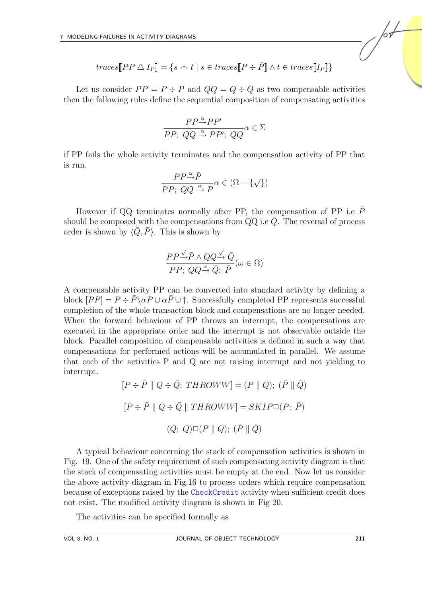$traces[PP \triangle I_P] = \{s \frown t \mid s \in traces[P \div \bar{P}] \land t \in traces[I_P]\}$ 

Let us consider  $PP = P \div \overline{P}$  and  $QQ = Q \div \overline{Q}$  as two compensable activities then the following rules define the sequential composition of compensating activities

$$
\frac{PP \stackrel{\alpha}{\rightarrow} PP'}{PP; \ QQ \stackrel{\alpha}{\rightarrow} PP'; \ QQ} \alpha \in \Sigma
$$

if PP fails the whole activity terminates and the compensation activity of PP that is run.

$$
\frac{PP}{PP;\ QQ\stackrel{\alpha}{\rightarrow}P}\alpha\in(\Omega-\{\surd\})
$$

However if QQ terminates normally after PP, the compensation of PP i.e  $\overline{P}$ should be composed with the compensations from  $QQ$  i.e  $\overline{Q}$ . The reversal of process order is shown by  $\langle \bar{Q}, \bar{P} \rangle$ . This is shown by

$$
\frac{PP\stackrel{\sqrt{}}{\rightarrow}\bar{P}\wedge QQ\stackrel{\sqrt{}}{\rightarrow}\bar{Q}}{PP;\ QQ\stackrel{\omega}{\rightarrow}\bar{Q};\ \bar{P}}(\omega\in\Omega)
$$

A compensable activity PP can be converted into standard activity by defining a block  $[PP] = P \div \overline{P} \setminus \alpha P \cup \alpha \overline{P} \cup \dagger$ . Successfully completed PP represents successful completion of the whole transaction block and compensations are no longer needed. When the forward behaviour of PP throws an interrupt, the compensations are executed in the appropriate order and the interrupt is not observable outside the block. Parallel composition of compensable activities is defined in such a way that compensations for performed actions will be accumulated in parallel. We assume that each of the activities P and Q are not raising interrupt and not yielding to interrupt.

$$
[P \div \bar{P} \parallel Q \div \bar{Q}; \, THROWW] = (P \parallel Q); \, (\bar{P} \parallel \bar{Q})
$$

$$
[P \div \bar{P} \parallel Q \div \bar{Q} \parallel THROWW] = SKIP\square(P; \, \bar{P})
$$

$$
(Q; \, \bar{Q})\square(P \parallel Q); \, (\bar{P} \parallel \bar{Q})
$$

A typical behaviour concerning the stack of compensation activities is shown in Fig. [19.](#page-23-0) One of the safety requirement of such compensating activity diagram is that the stack of compensating activities must be empty at the end. Now let us consider the above activity diagram in Fig[.16](#page-18-2) to process orders which require compensation because of exceptions raised by the CheckCredit activity when sufficient credit does not exist. The modified activity diagram is shown in Fig [20.](#page-23-1)

The activities can be specified formally as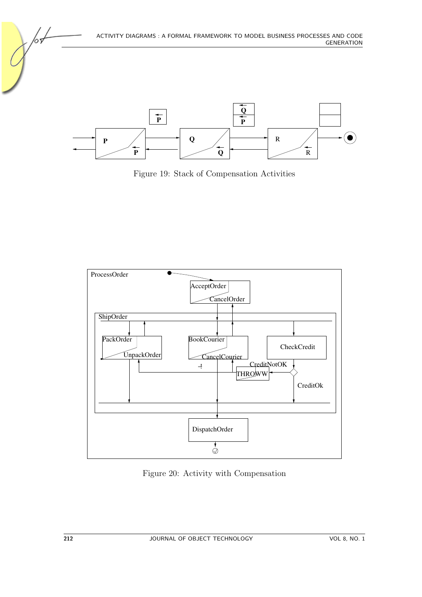

**P**

<span id="page-23-0"></span>Figure 19: Stack of Compensation Activities

**Q**

R



<span id="page-23-1"></span>Figure 20: Activity with Compensation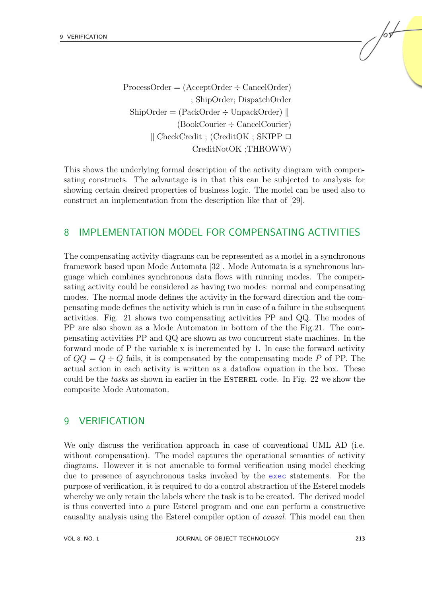ProcessOrder = (AcceptOrder ÷ CancelOrder) ; ShipOrder; DispatchOrder  $\text{ShipOrder} = (\text{PackOrder} \div \text{UnpackOrder})$ (BookCourier ÷ CancelCourier)  $\parallel$  CheckCredit ; (CreditOK ; SKIPP  $\Box$ CreditNotOK ;THROWW)

This shows the underlying formal description of the activity diagram with compensating constructs. The advantage is in that this can be subjected to analysis for showing certain desired properties of business logic. The model can be used also to construct an implementation from the description like that of [\[29\]](#page-28-12).

#### <span id="page-24-0"></span>8 IMPLEMENTATION MODEL FOR COMPENSATING ACTIVITIES

The compensating activity diagrams can be represented as a model in a synchronous framework based upon Mode Automata [\[32\]](#page-29-0). Mode Automata is a synchronous language which combines synchronous data flows with running modes. The compensating activity could be considered as having two modes: normal and compensating modes. The normal mode defines the activity in the forward direction and the compensating mode defines the activity which is run in case of a failure in the subsequent activities. Fig. [21](#page-25-0) shows two compensating activities PP and QQ. The modes of PP are also shown as a Mode Automaton in bottom of the the Fig[.21.](#page-25-0) The compensating activities PP and QQ are shown as two concurrent state machines. In the forward mode of P the variable x is incremented by 1. In case the forward activity of  $QQ = Q - Q$  fails, it is compensated by the compensating mode P of PP. The actual action in each activity is written as a dataflow equation in the box. These could be the tasks as shown in earlier in the ESTEREL code. In Fig. [22](#page-25-1) we show the composite Mode Automaton.

#### <span id="page-24-1"></span>9 VERIFICATION

We only discuss the verification approach in case of conventional UML AD (i.e. without compensation). The model captures the operational semantics of activity diagrams. However it is not amenable to formal verification using model checking due to presence of asynchronous tasks invoked by the exec statements. For the purpose of verification, it is required to do a control abstraction of the Esterel models whereby we only retain the labels where the task is to be created. The derived model is thus converted into a pure Esterel program and one can perform a constructive causality analysis using the Esterel compiler option of causal. This model can then /or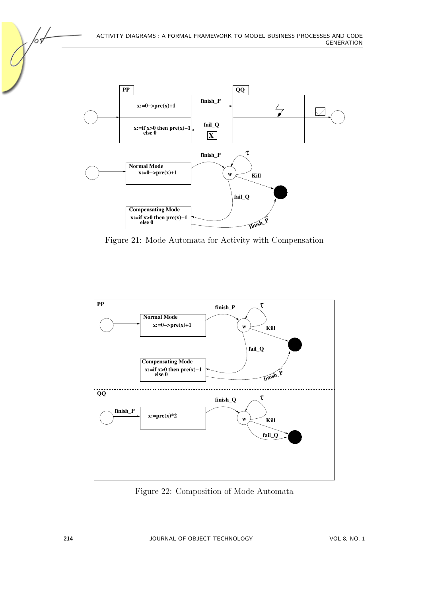

<span id="page-25-0"></span>Figure 21: Mode Automata for Activity with Compensation



<span id="page-25-1"></span>Figure 22: Composition of Mode Automata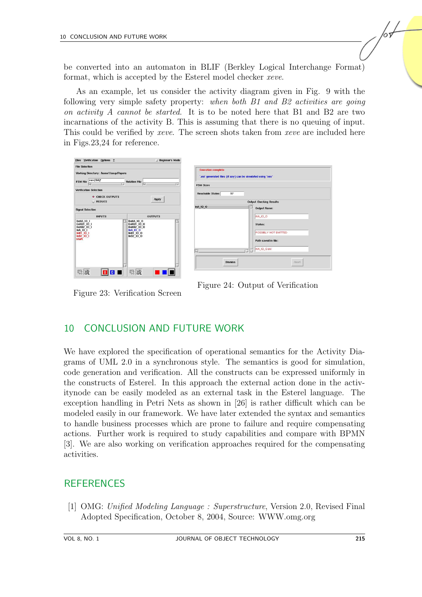be converted into an automaton in BLIF (Berkley Logical Interchange Format) format, which is accepted by the Esterel model checker xeve.

As an example, let us consider the activity diagram given in Fig. [9](#page-11-1) with the following very simple safety property: when both B1 and B2 activities are going on activity A cannot be started. It is to be noted here that B1 and B2 are two incarnations of the activity B. This is assuming that there is no queuing of input. This could be verified by *xeve*. The screen shots taken from *xeve* are included here in Figs[.23,](#page-26-2)[24](#page-26-3) for reference.

| <b>Files Verification Options ?</b>                                                                                         | Beginner's Mode                                                                                  |                                                                                                                      |  |
|-----------------------------------------------------------------------------------------------------------------------------|--------------------------------------------------------------------------------------------------|----------------------------------------------------------------------------------------------------------------------|--|
| <b>File Selection</b><br>Working Directory: /home1/anup/Papers<br>revf.blif<br><b>FSM File</b><br><b>Relation File</b><br>ю |                                                                                                  | <b>Execution complete</b><br>".esi" generated files (if any) can be simulated using "xes"<br><b>FSM Sizes</b>        |  |
| <b>Verification Selection</b><br>CHECK OUTPUTS                                                                              |                                                                                                  | 17<br>Reachable States                                                                                               |  |
| Apply<br>$\smile$ REDUCE                                                                                                    |                                                                                                  | <b>Output Checking Results</b>                                                                                       |  |
| <b>Signal Selection</b>                                                                                                     |                                                                                                  | InA_10_0<br><b>Output Name:</b>                                                                                      |  |
| <b>INPUTS</b><br>ExitA_IO_I<br>ExitB1_IO_I<br>ExitB2_IO_I<br>InA 10  <br>InB1 10  <br>InB2   0  <br>start                   | <b>OUTPUTS</b><br>ExitA IO O<br>ExitB1 IO O<br>ExitB2_10_0<br>InA_10_0<br>InB1_10_0<br>InB2 10 0 | InA_IO_O<br>Status:<br>POSSIBLY NOT EMITTED<br>Path saved in file:<br>InA_IO_O.esi<br><b>Abort</b><br><b>Dismiss</b> |  |
| 尽战<br>$\blacksquare$                                                                                                        | $R \overline{R}$                                                                                 |                                                                                                                      |  |

<span id="page-26-3"></span>Figure 24: Output of Verification

Figure 23: Verification Screen

<span id="page-26-2"></span>

## <span id="page-26-1"></span>10 CONCLUSION AND FUTURE WORK

We have explored the specification of operational semantics for the Activity Diagrams of UML 2.0 in a synchronous style. The semantics is good for simulation, code generation and verification. All the constructs can be expressed uniformly in the constructs of Esterel. In this approach the external action done in the activitynode can be easily modeled as an external task in the Esterel language. The exception handling in Petri Nets as shown in [\[26\]](#page-28-2) is rather difficult which can be modeled easily in our framework. We have later extended the syntax and semantics to handle business processes which are prone to failure and require compensating actions. Further work is required to study capabilities and compare with BPMN [\[3\]](#page-27-4). We are also working on verification approaches required for the compensating activities.

## **REFERENCES**

<span id="page-26-0"></span>[1] OMG: Unified Modeling Language : Superstructure, Version 2.0, Revised Final Adopted Specification, October 8, 2004, Source: WWW.omg.org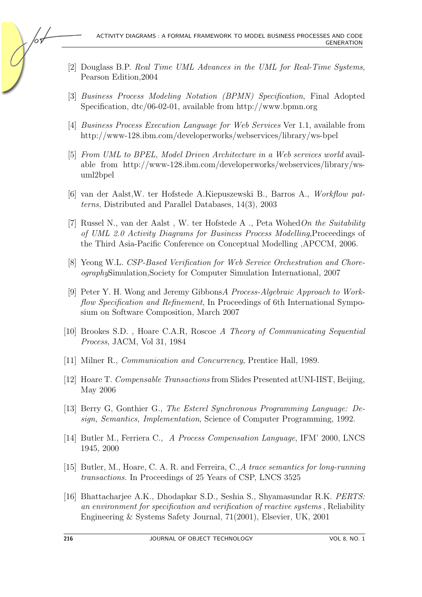- <span id="page-27-0"></span>[2] Douglass B.P. Real Time UML Advances in the UML for Real-Time Systems, Pearson Edition,2004
- <span id="page-27-4"></span>[3] Business Process Modeling Notation (BPMN) Specification, Final Adopted Specification, dtc/06-02-01, available from http://www.bpmn.org
- [4] Business Process Execution Language for Web Services Ver 1.1, available from http://www-128.ibm.com/developerworks/webservices/library/ws-bpel
- [5] From UML to BPEL, Model Driven Architecture in a Web services world available from http://www-128.ibm.com/developerworks/webservices/library/wsuml2bpel
- <span id="page-27-3"></span>[6] van der Aalst,W. ter Hofstede A.Kiepuszewski B., Barros A., Workflow patterns, Distributed and Parallel Databases, 14(3), 2003
- <span id="page-27-2"></span>[7] Russel N., van der Aalst, W. ter Hofstede A., Peta Wohed On the Suitability of UML 2.0 Activity Diagrams for Business Process Modelling,Proceedings of the Third Asia-Pacific Conference on Conceptual Modelling ,APCCM, 2006.
- <span id="page-27-6"></span>[8] Yeong W.L. CSP-Based Verification for Web Service Orchestration and ChoreographySimulation,Society for Computer Simulation International, 2007
- [9] Peter Y. H. Wong and Jeremy GibbonsA Process-Algebraic Approach to Workflow Specification and Refinement, In Proceedings of 6th International Symposium on Software Composition, March 2007
- <span id="page-27-9"></span>[10] Brookes S.D. , Hoare C.A.R, Roscoe A Theory of Communicating Sequential Process, JACM, Vol 31, 1984
- <span id="page-27-10"></span>[11] Milner R., Communication and Concurrency, Prentice Hall, 1989.
- <span id="page-27-7"></span>[12] Hoare T. Compensable Transactions from Slides Presented atUNI-IIST, Beijing, May 2006
- <span id="page-27-1"></span>[13] Berry G, Gonthier G., The Esterel Synchronous Programming Language: Design, Semantics, Implementation, Science of Computer Programming, 1992.
- <span id="page-27-8"></span>[14] Butler M., Ferriera C., A Process Compensation Language, IFM' 2000, LNCS 1945, 2000
- <span id="page-27-5"></span>[15] Butler, M., Hoare, C. A. R. and Ferreira, C.,A trace semantics for long-running transactions. In Proceedings of 25 Years of CSP, LNCS 3525
- <span id="page-27-11"></span>[16] Bhattacharjee A.K., Dhodapkar S.D., Seshia S., Shyamasundar R.K. PERTS: an environment for specification and verification of reactive systems , Reliability Engineering & Systems Safety Journal, 71(2001), Elsevier, UK, 2001

65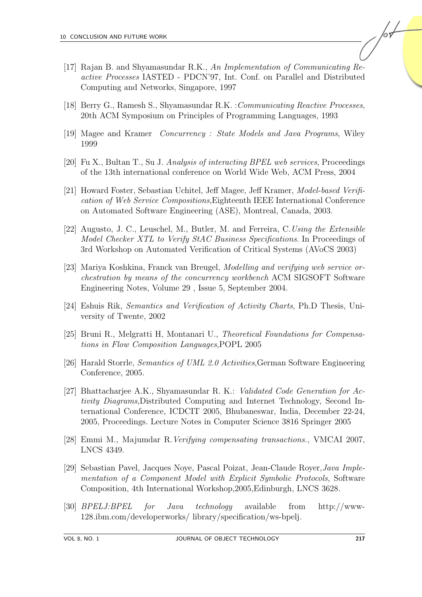- <span id="page-28-11"></span>[17] Rajan B. and Shyamasundar R.K., An Implementation of Communicating Reactive Processes IASTED - PDCN'97, Int. Conf. on Parallel and Distributed Computing and Networks, Singapore, 1997
- <span id="page-28-10"></span>[18] Berry G., Ramesh S., Shyamasundar R.K. :Communicating Reactive Processes, 20th ACM Symposium on Principles of Programming Languages, 1993
- <span id="page-28-5"></span>[19] Magee and Kramer Concurrency : State Models and Java Programs, Wiley 1999
- <span id="page-28-4"></span>[20] Fu X., Bultan T., Su J. Analysis of interacting BPEL web services, Proceedings of the 13th international conference on World Wide Web, ACM Press, 2004
- <span id="page-28-6"></span>[21] Howard Foster, Sebastian Uchitel, Jeff Magee, Jeff Kramer, Model-based Verification of Web Service Compositions,Eighteenth IEEE International Conference on Automated Software Engineering (ASE), Montreal, Canada, 2003.
- <span id="page-28-8"></span>[22] Augusto, J. C., Leuschel, M., Butler, M. and Ferreira, C.Using the Extensible Model Checker XTL to Verify StAC Business Specifications. In Proceedings of 3rd Workshop on Automated Verification of Critical Systems (AVoCS 2003)
- <span id="page-28-7"></span>[23] Mariya Koshkina, Franck van Breugel, Modelling and verifying web service orchestration by means of the concurrency workbench ACM SIGSOFT Software Engineering Notes, Volume 29 , Issue 5, September 2004.
- <span id="page-28-1"></span>[24] Eshuis Rik, Semantics and Verification of Activity Charts, Ph.D Thesis, University of Twente, 2002
- <span id="page-28-3"></span>[25] Bruni R., Melgratti H, Montanari U., Theoretical Foundations for Compensations in Flow Composition Languages,POPL 2005
- <span id="page-28-2"></span>[26] Harald Storrle, Semantics of UML 2.0 Activities,German Software Engineering Conference, 2005.
- <span id="page-28-0"></span>[27] Bhattacharjee A.K., Shyamasundar R. K.: Validated Code Generation for Activity Diagrams,Distributed Computing and Internet Technology, Second International Conference, ICDCIT 2005, Bhubaneswar, India, December 22-24, 2005, Proceedings. Lecture Notes in Computer Science 3816 Springer 2005
- <span id="page-28-9"></span>[28] Emmi M., Majumdar R.Verifying compensating transactions., VMCAI 2007, LNCS 4349.
- <span id="page-28-12"></span>[29] Sebastian Pavel, Jacques Noye, Pascal Poizat, Jean-Claude Royer,Java Implementation of a Component Model with Explicit Symbolic Protocols, Software Composition, 4th International Workshop,2005,Edinburgh, LNCS 3628.
- [30] BPELJ:BPEL for Java technology available from http://www-128.ibm.com/developerworks/ library/specification/ws-bpelj.

/sL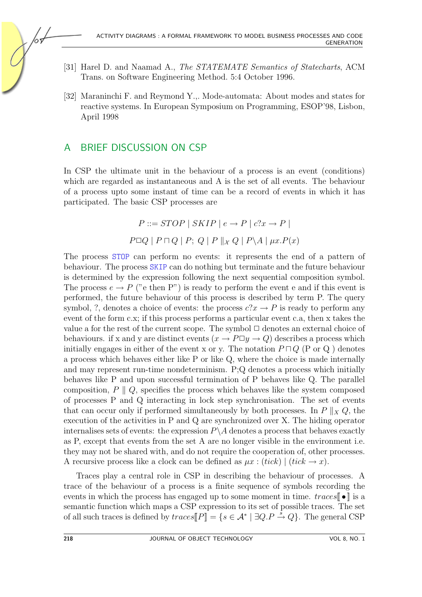- [31] Harel D. and Naamad A., The STATEMATE Semantics of Statecharts, ACM Trans. on Software Engineering Method. 5:4 October 1996.
- <span id="page-29-0"></span>[32] Maraninchi F. and Reymond Y.,. Mode-automata: About modes and states for reactive systems. In European Symposium on Programming, ESOP'98, Lisbon, April 1998

#### A BRIEF DISCUSSION ON CSP

In CSP the ultimate unit in the behaviour of a process is an event (conditions) which are regarded as instantaneous and A is the set of all events. The behaviour of a process upto some instant of time can be a record of events in which it has participated. The basic CSP processes are

$$
P ::= STOP \mid SKIP \mid e \rightarrow P \mid c?x \rightarrow P \mid
$$
  

$$
P \Box Q \mid P \sqcap Q \mid P; Q \mid P \parallel x Q \mid P \setminus A \mid \mu x.P(x)
$$

The process STOP can perform no events: it represents the end of a pattern of behaviour. The process SKIP can do nothing but terminate and the future behaviour is determined by the expression following the next sequential composition symbol. The process  $e \rightarrow P$  ("e then P") is ready to perform the event e and if this event is performed, the future behaviour of this process is described by term P. The query symbol, ?, denotes a choice of events: the process  $c?x \rightarrow P$  is ready to perform any event of the form c.x; if this process performs a particular event c.a, then x takes the value a for the rest of the current scope. The symbol  $\Box$  denotes an external choice of behaviours. if x and y are distinct events  $(x \to P \Box y \to Q)$  describes a process which initially engages in either of the event x or y. The notation  $P \sqcap Q$  (P or Q) denotes a process which behaves either like P or like Q, where the choice is made internally and may represent run-time nondeterminism. P;Q denotes a process which initially behaves like P and upon successful termination of P behaves like Q. The parallel composition,  $P \parallel Q$ , specifies the process which behaves like the system composed of processes P and Q interacting in lock step synchronisation. The set of events that can occur only if performed simultaneously by both processes. In  $P \parallel_X Q$ , the execution of the activities in P and Q are synchronized over X. The hiding operator internalises sets of events: the expression  $P\setminus A$  denotes a process that behaves exactly as P, except that events from the set A are no longer visible in the environment i.e. they may not be shared with, and do not require the cooperation of, other processes. A recursive process like a clock can be defined as  $\mu x$  :  $(tick) | (tick \rightarrow x)$ .

Traces play a central role in CSP in describing the behaviour of processes. A trace of the behaviour of a process is a finite sequence of symbols recording the events in which the process has engaged up to some moment in time.  $traces[\,\bullet\,]$  is a semantic function which maps a CSP expression to its set of possible traces. The set of all such traces is defined by  $traces[\![P]\!] = \{s \in \mathcal{A}^* \mid \exists Q.P \stackrel{\tilde{s}}{\rightarrow} Q\}$ . The general CSP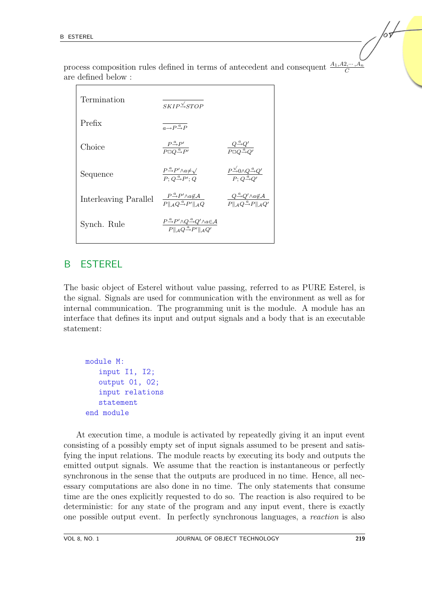process composition rules defined in terms of antecedent and consequent  $\frac{A_1, A_2, \dots, A_n}{C}$ are defined below :

| Termination           | $SKIP\xrightarrow{\sqrt{STOP}}$                                                                                                                                     |                                                                                                             |
|-----------------------|---------------------------------------------------------------------------------------------------------------------------------------------------------------------|-------------------------------------------------------------------------------------------------------------|
| Prefix                | $\overline{a \rightarrow P \stackrel{a}{\rightarrow} P}$                                                                                                            |                                                                                                             |
| Choice                | $\frac{P^{\frac{a}{\rightarrow}P'}}{P\Box Q^{\frac{a}{\rightarrow}P'}}$                                                                                             | $\frac{Q}{P\Box Q\Box Q'}$                                                                                  |
| Sequence              | $\frac{P \overset{\alpha}{\rightarrow} P' \land a \neq \sqrt{}}{P: Q \overset{a}{\rightarrow} P': Q}$                                                               | $\frac{P^{\vee}\rightarrow 0 \wedge Q \stackrel{a}{\rightarrow} Q'}{P\cdot Q \stackrel{a}{\rightarrow} Q'}$ |
| Interleaving Parallel | $\frac{P^{\alpha}_{\rightarrow}P'\wedge a\not\in A}{P\ _{A}Q^{\alpha}_{\rightarrow}P'\ _{A}O}$                                                                      | $\frac{Q^{\underline{a}}\Theta'\wedge a\notin A}{P\ _A Q^{\underline{a}}\to P\ _A Q'}$                      |
| Synch. Rule           | $\frac{P \stackrel{a}{\rightarrow} P' \wedge Q \stackrel{a}{\rightarrow} Q' \wedge a \in \mathcal{A}}{P \parallel_A Q \stackrel{a}{\rightarrow} P' \parallel_A Q'}$ |                                                                                                             |

## B ESTEREL

The basic object of Esterel without value passing, referred to as PURE Esterel, is the signal. Signals are used for communication with the environment as well as for internal communication. The programming unit is the module. A module has an interface that defines its input and output signals and a body that is an executable statement:

```
module M:
   input I1, I2;
   output 01, 02;
   input relations
   statement
end module
```
At execution time, a module is activated by repeatedly giving it an input event consisting of a possibly empty set of input signals assumed to be present and satisfying the input relations. The module reacts by executing its body and outputs the emitted output signals. We assume that the reaction is instantaneous or perfectly synchronous in the sense that the outputs are produced in no time. Hence, all necessary computations are also done in no time. The only statements that consume time are the ones explicitly requested to do so. The reaction is also required to be deterministic: for any state of the program and any input event, there is exactly one possible output event. In perfectly synchronous languages, a reaction is also